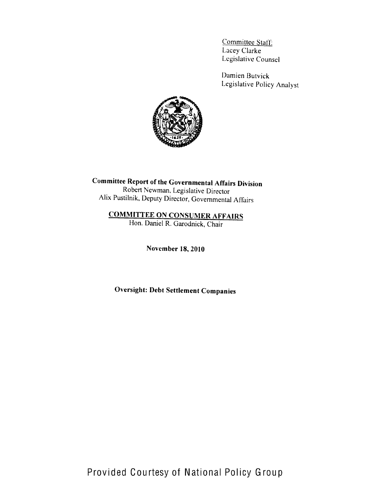Committee Staff: Lacey Clarke Legislative Counsel

Damien Butvick Legislative Policy Analyst



**Committee Report of the Governmental Affairs Division** Robert Newman, Legislative Director Alix Pustilnik, Deputy Director, Governmental Affairs

# **COMMITTEE ON CONSUMER AFFAIRS**

Hon. Daniel R. Garodnick, Chair

November 18, 2010

**Oversight: Debt Settlement Companies**

Provided Courtesy of National Policy Group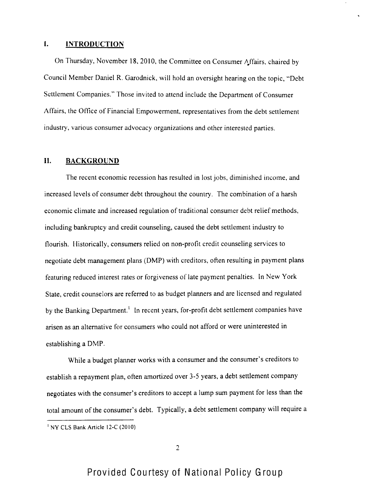#### $\mathbf{I}$ . **INTRODUCTION**

On Thursday, November 18, 2010, the Committee on Consumer h.ffairs, chaired by Council Member Daniel R. Garodnick, will hold an oversight hearing on the topic, "Debt Settlement Companies." Those invited to attend include the Department of Consumer Affairs, the Office of' Financial Empowerment, representatives from the debt settlement industry, various consumer advocacy organizations and other interested parties.

## **II. BACKGROUND**

The recent economic recession has resulted in lost jobs, diminished income, and increased levels of consumer debt throughout the country. The combination of a harsh economic climate and increased regulation of traditional consumer debt relief methods, including bankruptcy and credit counseling, caused the debt settlement industry to flourish. Historically, consumers relied on non-proflt credit counseling services to negotiate debt management plans (DMP) with creditors, often resulting in payment plans featuring reduced interest rates or forgiveness of late payment penalties. In New York State, credit counselors are referred to as budget planners and are licensed and regulated by the Banking Department.' ln recent years, for-profit debt settlement companies have arisen as an alternative for consumers who could not afford or were uninterested in establishing a DMP.

While a budget planner works with a consumer and the consumer's creditors to establish a repayment plan, often amortized over 3-5 years, a debt settlement company negotiates with the consumer's creditors to accept a lump sum payment for less than the total amount of the consumer's debt. Typically, a debt settlement company will require a

NY CLS Bank Article l2-C (2010)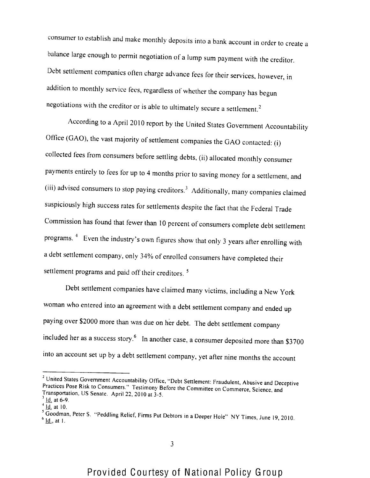consumer to establish and make monthly deposits into a bank account in order to create a balance large enough to permit negotiation of a lump sum payment with the creditor. Debt settlement companies often charge advance fees for their services, however, in addition to monthly service fees, regardless of whether the company has begun negotiations with the creditor or is able to ultimately secure a settlement.

According to a April 2010 report by the United States Government Accountability Office (GAO), the vast majority of settlement companies the **GAO** contacted; (i) collected fees from consumers before settling debts, (ii) allocated monthly consumer payments entirely to fees for up to 4 months prior to saving money for a settlement, and (iii) advised consumers to stop paying creditors.<sup>3</sup> Additionally, many companies claimed suspiciously high success rates for settlements despite the fact that the Federal Trade Commission has found that fewer than 10 percent of consumers complete debt settlement programs. <sup>4</sup> Even the industry's own figures show that only 3 years after enrolling with a debt settlement company, only 34% of enrolled consumers have completed their settlement programs and paid off their creditors.<sup>5</sup>

Debt settlement companies have claimed many victims, including a New York woman who entered into an agreement with a debt settlement company and ended up paying over \$2000 more than was due on her debt. The debt settlement company included her as a success story. $6\,$  In another case, a consumer deposited more than \$3700 into an account set up by a debt settlement company, yet after nine months the account

<sup>&</sup>lt;sup>2</sup> United States Government Accountability Office, "Debt Settlement: Fraudulent, Abusive and Deceptive Practices Pose Risk to Consumers." Testimony Before the Committee on Commerce, Science, and Transportation, US Senate. April 22, 2010 at 3-5.  $<sup>3</sup>$  Id. at 6-9.</sup>

 $<sup>4</sup>$  Id. at 10.</sup>

 $<sup>6</sup>$  <u>Id.</u>, at 1.</sup> ' Goodman, Peter S. "Peddling Relief, Firms Put Debtors in a Deeper Hole" NY Times, June l9, 20IO.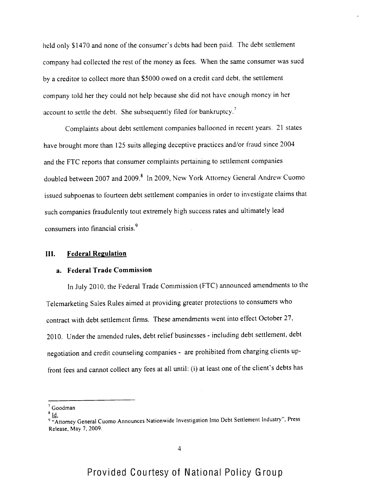held only \$1470 and none of the consumer's debts had been paid. The debt settlement company had collected the rest of the money as fees. When the same consumer was sued by a creditor to collect more than \$5000 owed on a credit card debt, the settlement company told her they could not help because she did not have enough money in her account to settle the debt. She subsequently filed for bankruptcy.<sup>7</sup>

Complaints about debt settlement companies ballooned in recent years. 21 states have brought more than 125 suits alleging deceptive practices and/or fraud since 2004 and the FTC reports that consumer complaints pertaining to settlement companies doubled between 2007 and 2009.<sup>8</sup> In 2009, New York Attorney General Andrew Cuomo issued subpoenas to fourteen debt settlement companies in order to investigate claims that such companies fraudulently tout extremely high success rates and ultimately lead consumers into financial crisis.<sup>9</sup>

#### **III.** Federal Regulation

#### **a. Federal Trade Commission**

In July 2010, the Federal Trade Commission (FTC) announced amendments to the Telemarketing Sales Rules aimed at providing greater protections to consumers who contract with debt settlement firms. These amendments went into effect October 27, 2010. Under the amended rules, debt relief businesses - including debt settlement, debt negotiation and credit counseling companies - are prohibited from charging clients upfront fees and cannot collect any fees at all until: (i) at least one of the client's debts has

Goodman

 $^8$  Id.

<sup>&</sup>quot;Attorney General Cuomo Announces Nationwide Investigation Into Debt Settlement Industry", Press Release, May 7, 2009.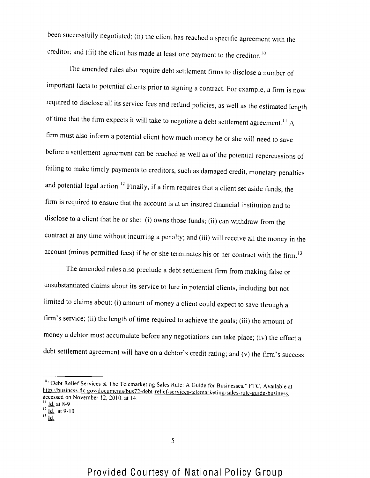been successfully negotiated; (ii) the client has reached a specific agreement with the creditor; and (iii) the client has made at least one payment to the creditor.<sup>10</sup>

The amended rules also require debt settlement firms to disclose a number of important facts to potential clients prior to signing a contract. For example, a firm is now required to disclose all its service fees and refund policies, as well as the estimated length of time that the firm expects it will take to negotiate a debt settlement agreement.<sup>11</sup> A firm must also inform a potential client how much money he or she will need to save before a settlement agreement can be reached as well as of the potential repercussions of failing to make timely payments to creditors, such as damaged credit, monetary penalties and potential legal action.<sup>12</sup> Finally, if a firm requires that a client set aside funds, the firm is required to ensure that the account is at an insured financial institution and to disclose to a client that he or she: (i) owns those funds; (ii) can withdraw from the contract at any time without incurring a penalty; and (iii) will receive all the money in the account (minus permitted fees) if he or she terminates his or her contract with the firm.

The amended rules also preclude a debt settlement firm from making false or unsubstantiated claims about its service to lure in potential clients, including but not limited to claims about: (i) amount of money a client could expect to save through a firm's service; (ii) the length of time required to achieve the goals; (iii) the amount of money a debtor must accumulate before any negotiations can take place; (iv) the effect a debt settlement agreement will have on a debtor's credit rating; and (v) the firm's success

<sup>&</sup>lt;sup>10</sup> "Debt Relief Services & The Telemarketing Sales Rule: A Guide for Businesses," FTC, Available at http://business.ftc.gov/documents/bus72-debt-relief-services-telemarketing-sales-rule-guide-business, accessed on November 12, 2010, at 14.

 $|| \underline{Id}$ . at 8-9

 $^{12}$   $\overline{Id}$ . at 9-10  $^{13}$   $\frac{1}{10}$ .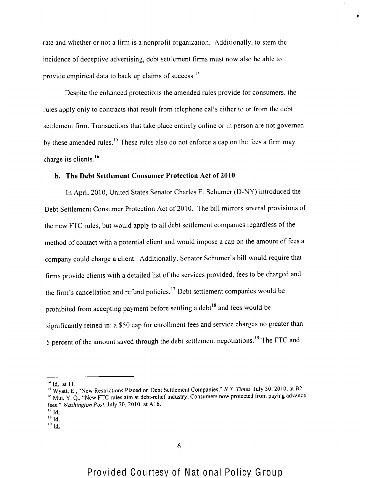rale and whether or not a firm is a nonprofit organization. Additionally, to stem the incidence of deceptive advertising, debt settlement firms must now also be able to provide empirical data to back up claims of success.<sup>14</sup>

Despite the enhanced protections the amended rules provide for consumers, the rules apply only to contracts that result from telephone calls either to or from the debt settlement firm. Transactions that take place entirely online or in person are not governed by these amended rules.<sup>15</sup> These rules also do not enforce a cap on the fees a firm may charge its clients.<sup>16</sup>

#### **b. The Debt Settlement Consumer Protection Act** of 2010

In April 2010, United States Senator Charles E. Schumer (D-NY) introduced the Debt Settlement Consumer Protection Act of 2010. The bill mirrors several provisions of the new FTC rules, but would apply to all debt settlement companies regardless of the method of contact with a potential client and would impose a cap on the amount of fees a company could charge a client. Additionally, Senator Schumer's bill would require that firms provide clients with a detailed list of the services provided, tees to be charged and the firm's cancellation and refund policies.<sup>17</sup> Debt settlement companies would be prohibited from accepting payment before settling a debt<sup>18</sup> and fees would be significantly reined in: a \$50 cap for enrollment fees and service charges no greater than 5 percent of the amount saved through the debt settlement negotiations.<sup>19</sup> The FTC and

<sup>&</sup>lt;u>ld.,</u> at 11.

 $\mathcal{W}_{\text{W}}$  Wyatt, E., "New Restrictions Placed on Debt Settlement Companies," N.Y. Times, July 30, 2010, at B2, <sup>16</sup> Mui, Y. Q., "New FTC rules aim at debt-relief industry; Consumers now protected from paying advance fees," Washington Post, July 30, 2010, at A16.

 $^{\prime\prime}$  Id

**<sup>1</sup>S**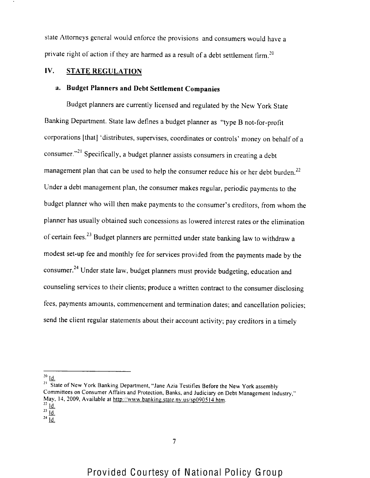state Attorneys general would enforce the provisions and consumers would have a private right of action if they are harmed as a result of a debt settlement firm.<sup>20</sup>

# **IV.** STATE REGULATION

# **a. Budget Planners and Debt Settlement Companies**

Budget planners are currently licensed and regulated by the New York State Banking Department. State law defines a budget planner as "type B not-for-profit corporations [that] 'distributes, supervises, coordinates or controls' money on behalf of'a consumer."<sup>21</sup> Specifically, a budget planner assists consumers in creating a debt management plan that can be used to help the consumer reduce his or her debt burden.<sup>22</sup> Under a debt management plan, the consumer makes regular, periodic payments to the budget planner who will then make payments to the consumer's creditors, from whom the planner has usually obtained such concessions as lowered interest rates or the elimination of certain fees.<sup>23</sup> Budget planners are permitted under state banking law to withdraw a modest set-up fee and monthly fee for services provided from the payments made by the consumer.<sup>24</sup> Under state law, budget planners must provide budgeting, education and counseling services to their clients; produce a written contract to the consumer disclosing fees, payments amounts, commencement and termination dates; and cancellation policies; send the client regular statements about their account activity; pay creditors in a timely

' Id.

 $^{20}$  Id.

<sup>&</sup>lt;sup>21</sup> State of New York Banking Department, "Jane Azia Testifies Before the New York assembly Committees on Consumer Affairs and Protection, Banks, and Judiciary on Debt Management Industry," May, 14, 2009, Available at http://www.banking.state.ny.us/sp090514.htm.

ld.  $^{23}$  Id.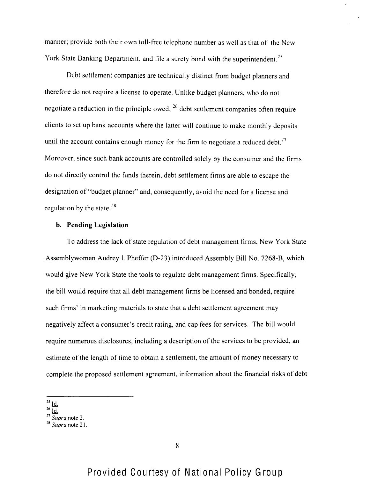manner; provide both their own toll-free telephone number as well as that of the New York State Banking Department; and file a surety bond with the superintendent.<sup>25</sup>

Debt settlement companies are technically distinct from budget planners and therefore do not require a license to operate. Unlike budget planners, who do not negotiate a reduction in the principle owed,  $26$  debt settlement companies often require clients to set up bank accounts where the latter will continue to make monthly deposits until the account contains enough money for the firm to negotiate a reduced debt.<sup>27</sup> Moreover, since such bank accounts are controlled solely by the consumer and the firms do not directly control the funds therein, debt settlement firms are able to escape the designation of "budget planner" and, consequently, avoid the need for a license and regulation by the state. $28$ 

## **b. Pending Legislation**

To address the lack of state regulation of debt management firms, **New** York State Assemblywoman Audrey I. Pheffer (D-23) introduced Assembly Bill No. 7268-B, which would give New York State the tools to regulate debt management firms. Specifically, the bill would require that all debt management firms be licensed and bonded, require such firms' in marketing materials to state that a debt settlement agreement may negatively affect a consumer's credit rating, and cap fees for services. The bill would require numerous disclosures, including a description of the services to be provided, an estimate of the length of time to obtain a settlement, the amount of money necessary to complete the proposed settlement agreement, information about the financial risks of debt

- $^{25}$   $\underline{\mathsf{Id}}$ .
- $26\frac{1}{10}$
- $\frac{32}{5}$ upra note 2.
- $^{28}$  Supra note 21.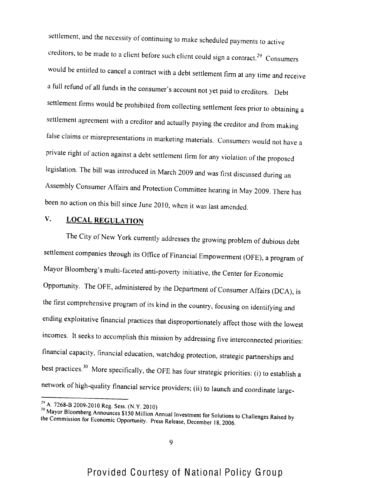settlement, and the necessity of continuing to make scheduled payments to active creditors, to be made to a client before such client could sign a contract  $\mathbb{R}^n$  $29$  Consumers would be entitled to cancel a contract with a debt settlement firm at any time and receive a full refund of all funds in the consumer's account not yet paid to creditors. Debt settlement firms would be prohibited from collecting settlement fees prior to obtaining a settlement agreement with a creditor and actually paying the creditor and from making false claims or misrepresentations in marketing materials. Consumers would not have a private right of action against a debt settlement firm for any violation of the proposed legislation. The bill was introduced in March 2009 and was first discussed during an Assembly Consumer Affairs and Protection Committee hearing in May 2009. There has been no action on this bill since June 2010, when it was last amended.

# **V.** LOCAL REGULATION

The City of New York currently addresses the growing problem of dubious debt settlement companies through its Office of Financial Empowerment (OFE), a program of Mayor Bloomberg's multi-faceted anti-poverty initiative, the Center for Economic Opportunity. The OFF, administered by the Department of Consumer Affairs (DCA), is the first comprehensive program of its kind in the country, focusing on identifying and ending exploitative financial practices that disproportionately affect those with the lowest incomes. It seeks to accomplish this mission by addressing five interconnected priorities: financial capacity, financial education, watchdog protection, strategic partnerships and best practices.<sup>30</sup> More specifically, the OFE has four strategic priorities: (i) to establish a network of high-quality financial service providers; (ii) to launch and coordinate large-

A. 7268-B 2009-2010 Reg, Sess, (N.Y. 2010)

<sup>&</sup>lt;sup>30</sup> Mayor Bloomberg Announces \$150 Million Annual Investment for Solutions to Challenges Raised by the Commission for Economic Opportunity. Press Release, December 18, 2006.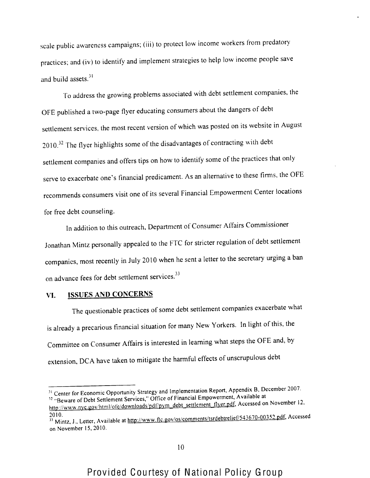scale public awareness campaigns; (iii) to protect low income workers from predatory practices; and (iv) to identify and implement strategies to help low income people save and build assets.<sup>31</sup>

To address the growing problems associated with debt settlement companies, the OFE published a two-page flyer educating consumers about the dangers of debt settlement services, the most recent version of which was posted on its website in August  $2010.<sup>32</sup>$  The flyer highlights some of the disadvantages of contracting with debt settlement companies and offers tips on how to identify some of the practices that only serve to exacerbate one's financial predicament. As an alternative to these firms, the OFE recommends consumers visit one of its several Financial Empowerment Center locations for free debt counseling.

In addition to this outreach, Department of Consumer Affairs Commissioner Jonathan Mintz personally appealed to the FTC for stricter regulation of debt settlement companies, most recently in July 2010 when he sent a letter to the secretary urging a ban on advance fees for debt settlement services.<sup>33</sup>

## **VI. ISSUES AND CONCERNS**

The questionable practices of some debt settlement companies exacerbate what is already a precarious financial situation for many New Yorkers. In light of this, the Committee on Consumer Affairs is interested in learning what steps the OFE and, by extension, DCA have taken to mitigate the harmful effects of unscrupulous debt

<sup>&</sup>lt;sup>31</sup> Center for Economic Opportunity Strategy and Implementation Report, Appendix B, December 2007. We can be a consumed to provide the services," Office of Financial Empowerment, Available at

http://www.nyc.gov/html/ofe/downloads/pdf/pym\_debt\_settlement\_flyer.pdf, Accessed on November 12, 2010.

 $^{33}$  Mintz, J., Letter, Available at http://www.ttc.gov/os/comments/tsrdebtrelief/5750-00352. decreased on November 15, 2010.